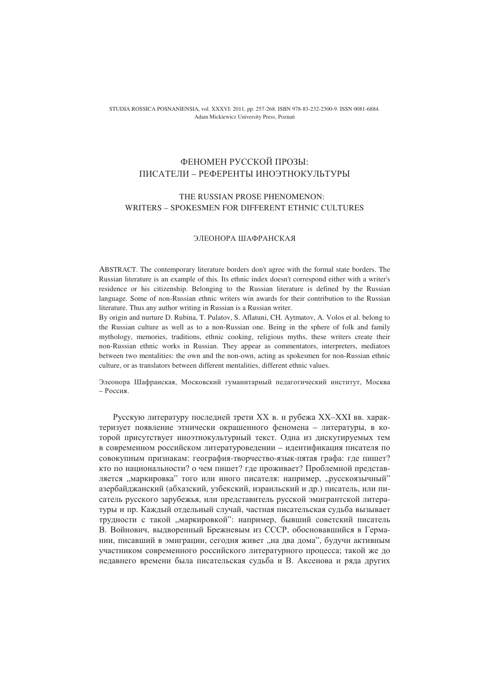STUDIA ROSSICA POSNANIENSIA, vol. XXXVI: 2011, pp. 257-268. ISBN 978-83-232-2300-9. ISSN 0081-6884. Adam Mickiewicz University Press, Pozna

## ФЕНОМЕН РУССКОЙ ПРОЗЫ: ПИСАТЕЛИ – РЕФЕРЕНТЫ ИНОЭТНОКУЛЬТУРЫ

## THE RUSSIAN PROSE PHENOMENON: WRITERS – SPOKESMEN FOR DIFFERENT ETHNIC CULTURES

## ЭЛЕОНОРА ШАФРАНСКАЯ

ABSTRACT. The contemporary literature borders don't agree with the formal state borders. The Russian literature is an example of this. Its ethnic index doesn't correspond either with a writer's residence or his citizenship. Belonging to the Russian literature is defined by the Russian language. Some of non-Russian ethnic writers win awards for their contribution to the Russian literature. Thus any author writing in Russian is a Russian writer.

By origin and nurture D. Rubina, T. Pulatov, S. Aflatuni, CH. Aytmatov, A. Volos et al. belong to the Russian culture as well as to a non-Russian one. Being in the sphere of folk and family mythology, memories, traditions, ethnic cooking, religious myths, these writers create their non-Russian ethnic works in Russian. They appear as commentators, interpreters, mediators between two mentalities: the own and the non-own, acting as spokesmen for non-Russian ethnic culture, or as translators between different mentalities, different ethnic values.

Элеонора Шафранская, Московский гуманитарный педагогический институт, Москва  $-$  Poccus.

Русскую литературу последней трети XX в. и рубежа XX-XXI вв. характеризует появление этнически окрашенного феномена - литературы, в которой присутствует иноэтнокультурный текст. Одна из дискутируемых тем в современном российском литературоведении - идентификация писателя по совокупным признакам: география-творчество-язык-пятая графа: где пишет? кто по национальности? о чем пишет? где проживает? Проблемной представляется "маркировка" того или иного писателя: например, "русскоязычный" азербайджанский (абхазский, узбекский, израильский и др.) писатель, или писатель русского зарубежья, или представитель русской эмигрантской литературы и пр. Каждый отдельный случай, частная писательская судьба вызывает трудности с такой "маркировкой": например, бывший советский писатель В. Войнович, выдворенный Брежневым из СССР, обосновавшийся в Германии, писавший в эмиграции, сегодня живет "на два дома", будучи активным участником современного российского литературного процесса; такой же до недавнего времени была писательская судьба и В. Аксенова и ряда других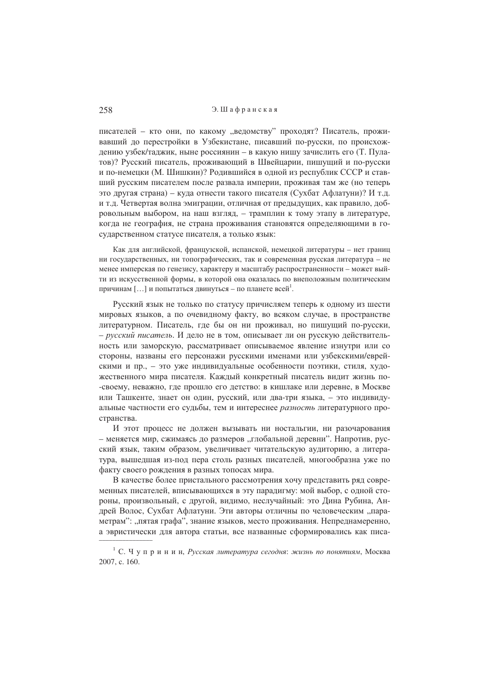писателей - кто они, по какому "ведомству" проходят? Писатель, проживавший до перестройки в Узбекистане, писавший по-русски, по происхождению узбек/таджик, ныне россиянин - в какую нишу зачислить его (Т. Пулатов)? Русский писатель, проживающий в Швейцарии, пишущий и по-русски и по-немецки (М. Шишкин)? Родившийся в одной из республик СССР и ставший русским писателем после развала империи, проживая там же (но теперь это другая страна) - куда отнести такого писателя (Сухбат Афлатуни)? И т.д. и т.д. Четвертая волна эмиграции, отличная от предыдущих, как правило, добровольным выбором, на наш взгляд, - трамплин к тому этапу в литературе, когда не география, не страна проживания становятся определяющими в государственном статусе писателя, а только язык:

Как лля английской, французской, испанской, немецкой литературы – нет границ ни государственных, ни топографических, так и современная русская литература - не менее имперская по генезису, характеру и масштабу распространенности - может выйти из искусственной формы, в которой она оказалась по внеположным политическим причинам [...] и попытаться двинуться – по планете всей<sup>1</sup>.

Русский язык не только по статусу причисляем теперь к одному из шести мировых языков, а по очевидному факту, во всяком случае, в пространстве литературном. Писатель, где бы он ни проживал, но пишущий по-русски, - русский писатель. И дело не в том, описывает ли он русскую действительность или заморскую, рассматривает описываемое явление изнутри или со стороны, названы его персонажи русскими именами или узбекскими/еврейскими и пр., - это уже индивидуальные особенности поэтики, стиля, художественного мира писателя. Каждый конкретный писатель видит жизнь по--своему, неважно, где прошло его детство: в кишлаке или деревне, в Москве или Ташкенте, знает он один, русский, или два-три языка, - это индивидуальные частности его судьбы, тем и интереснее разность литературного пространства.

И этот процесс не должен вызывать ни ностальгии, ни разочарования - меняется мир, сжимаясь до размеров "глобальной деревни". Напротив, русский язык, таким образом, увеличивает читательскую аудиторию, а литература, вышедшая из-под пера столь разных писателей, многообразна уже по факту своего рождения в разных топосах мира.

В качестве более пристального рассмотрения хочу представить ряд современных писателей, вписывающихся в эту парадигму: мой выбор, с одной стороны, произвольный, с другой, видимо, неслучайный: это Дина Рубина, Андрей Волос, Сухбат Афлатуни. Эти авторы отличны по человеческим "параметрам": "пятая графа", знание языков, место проживания. Непреднамеренно, а эвристически для автора статьи, все названные сформировались как писа-

<sup>&</sup>lt;sup>1</sup> С. Ч у п р и н и н, Русская литература сегодня: жизнь по понятиям, Москва 2007, c. 160.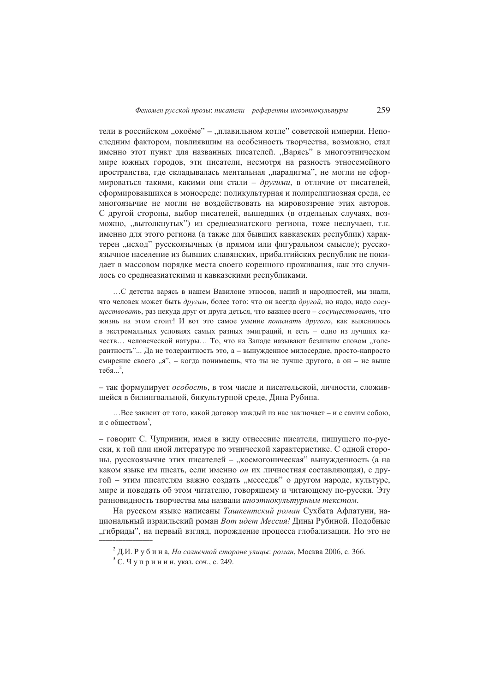тели в российском "окоёме" - "плавильном котле" советской империи. Непоследним фактором, повлиявшим на особенность творчества, возможно, стал именно этот пункт для названных писателей. "Варясь" в многоэтническом мире южных городов, эти писатели, несмотря на разность этносемейного пространства, где складывалась ментальная "парадигма", не могли не сформироваться такими, какими они стали - другими, в отличие от писателей, сформировавшихся в моносреде: поликультурная и полирелигиозная среда, ее многоязычие не могли не воздействовать на мировоззрение этих авторов. С другой стороны, выбор писателей, вышедших (в отдельных случаях, возможно, "вытолкнутых") из среднеазиатского региона, тоже неслучаен, т.к. именно для этого региона (а также для бывших кавказских республик) характерен "исход" русскоязычных (в прямом или фигуральном смысле); русскоязычное население из бывших славянских, прибалтийских республик не покидает в массовом порядке места своего коренного проживания, как это случилось со среднеазиатскими и кавказскими республиками.

... С летства варясь в нашем Вавилоне этносов, наций и народностей, мы знали, что человек может быть другим, более того: что он всегда другой, но надо, надо сосушествовать, раз некуда друг от друга деться, что важнее всего - сосушествовать, что жизнь на этом стоит! И вот это самое умение понимать другого, как выяснилось в экстремальных условиях самых разных эмиграций, и есть - одно из лучших качеств... человеческой натуры... То, что на Запале называют безликим словом "толерантность"... Да не толерантность это, а - вынужденное милосердие, просто-напросто смирение своего "я", – когда понимаешь, что ты не лучше другого, а он – не выше  $\text{TE}6a...^2$ .

- так формулирует особость, в том числе и писательской, личности, сложившейся в билингвальной, бикультурной среде, Лина Рубина.

...Все зависит от того, какой договор каждый из нас заключает – и с самим собою, и с обществом<sup>3</sup>.

- говорит С. Чупринин, имея в виду отнесение писателя, пишущего по-русски, к той или иной литературе по этнической характеристике. С одной стороны, русскоязычие этих писателей - "космогоническая" вынужденность (а на каком языке им писать, если именно он их личностная составляющая), с другой - этим писателям важно создать "месседж" о другом народе, культуре, мире и поведать об этом читателю, говорящему и читающему по-русски. Эту разновилность творчества мы назвали иноэтнокультурным текстом.

На русском языке написаны Ташкентский роман Сухбата Афлатуни, национальный израильский роман Вот идет Мессия! Дины Рубиной. Подобные "гибриды", на первый взгляд, порождение процесса глобализации. Но это не

<sup>&</sup>lt;sup>2</sup> Д.И. Р у б и н а, На солнечной стороне улицы: роман, Москва 2006, с. 366.

<sup>&</sup>lt;sup>3</sup> С. Чупринин, указ. соч., с. 249.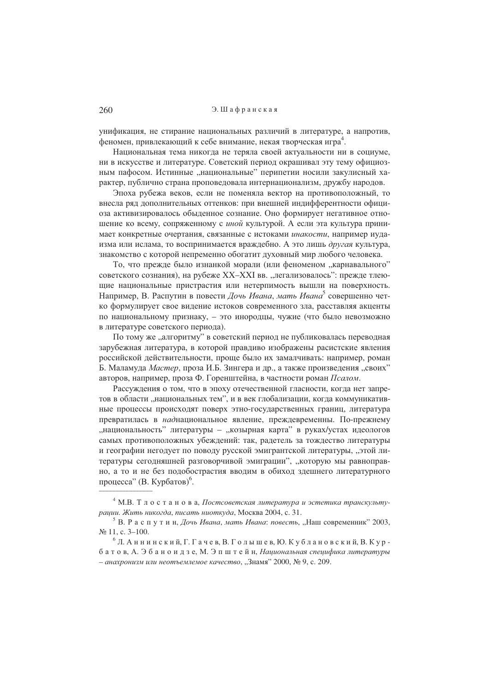Э. Шафранская

унификация, не стирание национальных различий в литературе, а напротив,  $\phi$ еномен, привлекающий к себе внимание, некая творческая игра<sup>4</sup>.

Национальная тема никогда не теряла своей актуальности ни в социуме, ни в искусстве и литературе. Советский период окрашивал эту тему официозным пафосом. Истинные "национальные" перипетии носили закулисный характер, публично страна проповедовала интернационализм, дружбу народов.

Эпоха рубежа веков, если не поменяла вектор на противоположный, то внесла ряд дополнительных оттенков: при внешней индифферентности официоза активизировалось обыденное сознание. Оно формирует негативное отношение ко всему, сопряженному с иной культурой. А если эта культура принимает конкретные очертания, связанные с истоками инакости, например иудаизма или ислама, то воспринимается враждебно. А это лишь другая культура, знакомство с которой непременно обогатит духовный мир любого человека.

То, что прежде было изнанкой морали (или феноменом "карнавального" советского сознания), на рубеже XX-XXI вв. "легализовалось": прежде тлеющие национальные пристрастия или нетерпимость вышли на поверхность. Например. В. Распутин в повести *Лочь Ивана, мать Ивана*<sup>5</sup> совершенно четко формулирует свое виление истоков современного зла, расставляя акценты по национальному признаку, - это инородцы, чужие (что было невозможно в литературе советского периода).

По тому же "алгоритму" в советский период не публиковалась переводная зарубежная литература, в которой правливо изображены расистские явления российской действительности, проще было их замалчивать: например, роман Б. Маламуда Мастер, проза И.Б. Зингера и др., а также произведения "своих" авторов, например, проза Ф. Горенштейна, в частности роман Псалом.

Рассуждения о том, что в эпоху отечественной гласности, когда нет запретов в области "национальных тем", и в век глобализации, когда коммуникативные процессы происходят поверх этно-государственных границ, литература превратилась в наднациональное явление, прежлевременны. По-прежнему "национальность" литературы - "козырная карта" в руках/устах идеологов самых противоположных убеждений: так, радетель за тождество литературы и географии негодует по поводу русской эмигрантской литературы, "этой литературы сегодняшней разговорчивой эмиграции", "которую мы равноправно, а то и не без подобострастия вводим в обиход здешнего литературного процесса" (В. Курбатов)<sup>6</sup>.

<sup>&</sup>lt;sup>4</sup> М.В. Т л о с т а н о в а, Постсоветская литература и эстетика транскультурации. Жить никогда, писать ниоткуда, Москва 2004, с. 31.

<sup>&</sup>lt;sup>5</sup> В. Распутин, Дочь Ивана, мать Ивана: повесть, "Наш современник" 2003,  $N_2$  11, c. 3-100.

 $6$  Л. Аннинский, Г. Гачев, В. Голышев, Ю. Кублановский, В. Курбатов, А. Эбаноидзе, М. Эпштейн, Национальная специфика литературы - анахронизм или неотъемлемое качество, "Знамя" 2000, № 9, с. 209.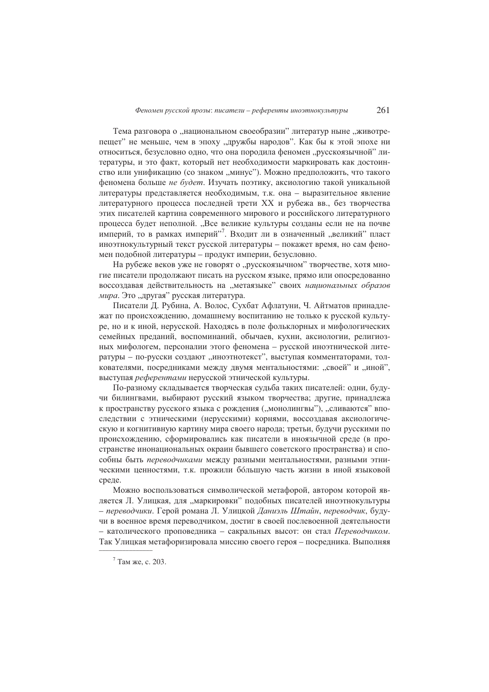Тема разговора о "национальном своеобразии" литератур ныне "животрепещет" не меньше, чем в эпоху "дружбы народов". Как бы к этой эпохе ни относиться, безусловно одно, что она породила феномен "русскоязычной" литературы, и это факт, который нет необходимости маркировать как достоинство или унификацию (со знаком "минус"). Можно предположить, что такого феномена больше не будет. Изучать поэтику, аксиологию такой уникальной литературы представляется необходимым, т.к. она - выразительное явление литературного процесса последней трети XX и рубежа вв., без творчества этих писателей картина современного мирового и российского литературного процесса будет неполной. "Все великие культуры созданы если не на почве империй, то в рамках империй"<sup>7</sup>. Входит ли в означенный "великий" пласт иноэтнокультурный текст русской литературы - покажет время, но сам феномен подобной литературы - продукт империи, безусловно.

На рубеже веков уже не говорят о "русскоязычном" творчестве, хотя многие писатели продолжают писать на русском языке, прямо или опосредованно воссоздавая действительность на "метаязыке" своих национальных образов мира. Это "другая" русская литература.

Писатели Д. Рубина, А. Волос, Сухбат Афлатуни, Ч. Айтматов принадлежат по происхождению, домашнему воспитанию не только к русской культуре, но и к иной, нерусской. Находясь в поле фольклорных и мифологических семейных преданий, воспоминаний, обычаев, кухни, аксиологии, религиозных мифологем, персоналии этого феномена - русской иноэтнической литературы - по-русски создают "иноэтнотекст", выступая комментаторами, толкователями, посредниками между двумя ментальностями: "своей" и "иной", выступая референтами нерусской этнической культуры.

По-разному складывается творческая судьба таких писателей: одни, будучи билингвами, выбирают русский языком творчества; другие, принадлежа к пространству русского языка с рождения ("монолингвы"), "сливаются" впоследствии с этническими (нерусскими) корнями, воссоздавая аксиологическую и когнитивную картину мира своего народа; третьи, будучи русскими по происхождению, сформировались как писатели в иноязычной среде (в пространстве инонациональных окраин бывшего советского пространства) и способны быть переводчиками между разными ментальностями, разными этническими ценностями, т.к. прожили бо́льшую часть жизни в иной языковой среде.

Можно воспользоваться символической метафорой, автором которой является Л. Улицкая, для "маркировки" подобных писателей иноэтнокультуры - переводчики. Герой романа Л. Улицкой Даниэль Штайн, переводчик, будучи в военное время переводчиком, достиг в своей послевоенной деятельности - католического проповедника - сакральных высот: он стал Переводчиком. Так Улицкая метафоризировала миссию своего героя – посредника. Выполняя

 $7$ Там же, с. 203.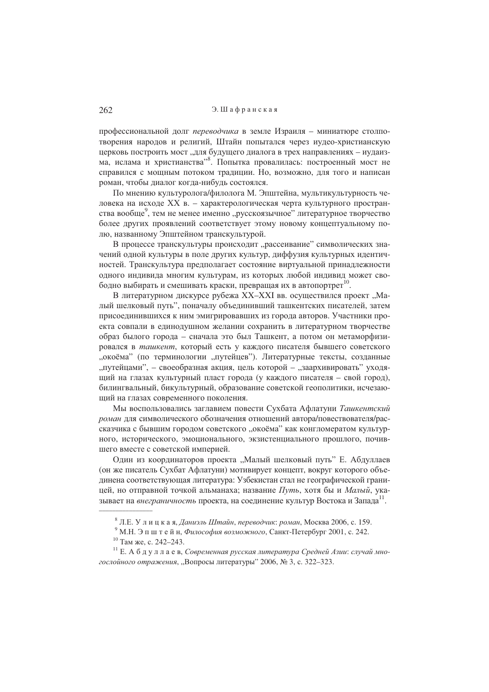профессиональной долг переводчика в земле Израиля - миниатюре столпотворения народов и религий. Штайн попытался через иудео-христианскую церковь построить мост "для будущего диалога в трех направлениях - иудаизма, ислама и христианства". Попытка провалилась: построенный мост не справился с мощным потоком традиции. Но, возможно, для того и написан роман, чтобы диалог когда-нибудь состоялся.

По мнению культуролога/филолога М. Эпштейна, мультикультурность человека на исходе XX в. - характерологическая черта культурного пространства вообще<sup>9</sup>, тем не менее именно "русскоязычное" литературное творчество более других проявлений соответствует этому новому концептуальному полю, названному Эпштейном транскультурой.

В процессе транскультуры происходит "рассеивание" символических значений одной культуры в поле других культур, диффузия культурных идентичностей. Транскультура предполагает состояние виртуальной принадлежности одного индивида многим культурам, из которых любой индивид может своболно выбирать и смешивать краски, преврашая их в автопортрет<sup>10</sup>.

В литературном дискурсе рубежа XX-XXI вв. осуществился проект "Малый шелковый путь", поначалу объединивший ташкентских писателей, затем присоединившихся к ним эмигрировавших из города авторов. Участники проекта совпали в единодушном желании сохранить в литературном творчестве образ былого города – сначала это был Ташкент, а потом он метаморфизировался в ташкент, который есть у каждого писателя бывшего советского "окоёма" (по терминологии "путейцев"). Литературные тексты, созданные "путейцами", - своеобразная акция, цель которой - "заархивировать" уходящий на глазах культурный пласт города (у каждого писателя - свой город), билингвальный, бикультурный, образование советской геополитики, исчезающий на глазах современного поколения.

Мы воспользовались заглавием повести Сухбата Афлатуни Ташкентский роман для символического обозначения отношений автора/повествователя/рассказчика с бывшим городом советского "окоёма" как конгломератом культурного, исторического, эмоционального, экзистенциального прошлого, почившего вместе с советской империей.

Один из координаторов проекта "Малый шелковый путь" Е. Абдуллаев (он же писатель Сухбат Афлатуни) мотивирует концепт, вокруг которого объединена соответствующая литература: Узбекистан стал не географической границей, но отправной точкой альманаха; название Путь, хотя бы и Малый, указывает на *внеграничность* проекта, на соелинение культур Востока и Запала<sup>11</sup>.

 $8$  Л.Е. У лицкая, Даниэль Штайн, переводчик: роман, Москва 2006, с. 159.

<sup>&</sup>lt;sup>9</sup> М.Н. Э п ш т е й н, Философия возможного, Санкт-Петербург 2001, с. 242.

<sup>&</sup>lt;sup>10</sup> Там же, с. 242-243.

<sup>&</sup>lt;sup>11</sup> Е. А б д у л л а е в, Современная русская литература Средней Азии: случай многослойного отражения, "Вопросы литературы" 2006, № 3, с. 322-323.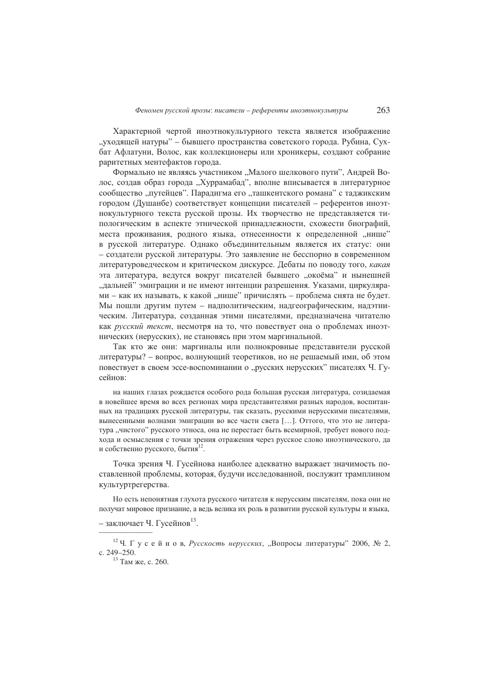Характерной чертой иноэтнокультурного текста является изображение "уходящей натуры" – бывшего пространства советского города. Рубина, Сухбат Афлатуни, Волос, как коллекционеры или хроникеры, создают собрание раритетных ментефактов города.

Формально не являясь участником "Малого шелкового пути", Андрей Волос, создав образ города "Хуррамабад", вполне вписывается в литературное сообщество "путейцев". Парадигма его "ташкентского романа" с таджикским городом (Душанбе) соответствует концепции писателей - референтов иноэтнокультурного текста русской прозы. Их творчество не представляется типологическим в аспекте этнической приналлежности, схожести биографий, места проживания, родного языка, отнесенности к определенной "нише" в русской литературе. Однако объединительным является их статус: они - создатели русской литературы. Это заявление не бесспорно в современном литературоведческом и критическом дискурсе. Дебаты по поводу того, какая эта литература, ведутся вокруг писателей бывшего "окоёма" и нынешней "лальней" эмиграции и не имеют интенции разрещения. Указами, циркулярами - как их называть, к какой "нише" причислять - проблема снята не будет. Мы пошли другим путем - надполитическим, надгеографическим, надэтническим. Литература, созданная этими писателями, предназначена читателю как русский текст, несмотря на то, что повествует она о проблемах иноэтнических (нерусских), не становясь при этом маргинальной.

Так кто же они: маргиналы или полнокровные представители русской литературы? – вопрос, волнующий теоретиков, но не решаемый ими, об этом повествует в своем эссе-воспоминании о "русских нерусских" писателях Ч. Гусейнов:

на наших глазах рожлается особого рола большая русская литература, созилаемая в новейшее время во всех регионах мира представителями разных народов, воспитанных на традициях русской литературы, так сказать, русскими нерусскими писателями, вынесенными волнами эмиграции во все части света [...]. Оттого, что это не литература "чистого" русского этноса, она не перестает быть всемирной, требует нового подхода и осмысления с точки зрения отражения через русское слово иноэтнического, да и собственно русского, бытия<sup>12</sup>.

Точка зрения Ч. Гусейнова наиболее алекватно выражает значимость поставленной проблемы, которая, будучи исследованной, послужит трамплином культуртрегерства.

Но есть непонятная глухота русского читателя к нерусским писателям, пока они не получат мировое признание, а ведь велика их роль в развитии русской культуры и языка,

<sup>–</sup> заключает Ч. Гусейнов<sup>13</sup>.

<sup>&</sup>lt;sup>12</sup> Ч. Гусейнов, *Русскость нерусских*, "Вопросы литературы" 2006, № 2, c. 249-250.

<sup>&</sup>lt;sup>13</sup> Там же, с. 260.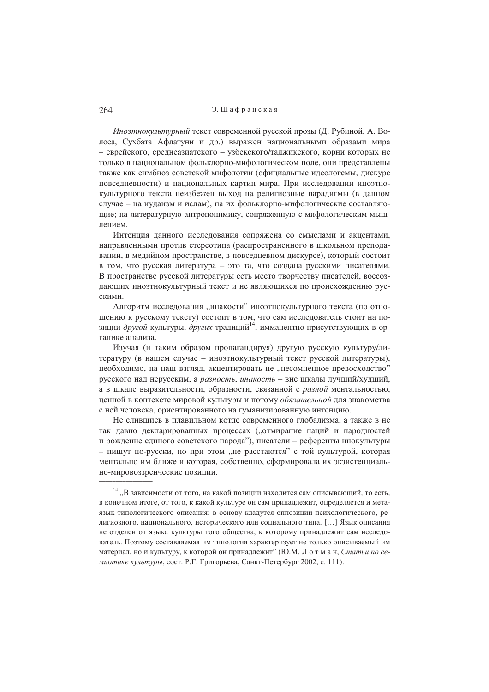## Э. Шафранская

Иноэтнокультурный текст современной русской прозы (Д. Рубиной, А. Волоса, Сухбата Афлатуни и др.) выражен национальными образами мира - еврейского, среднеазиатского - узбекского/таджикского, корни которых не только в национальном фольклорно-мифологическом поле, они представлены также как симбиоз советской мифологии (официальные идеологемы, дискурс повседневности) и национальных картин мира. При исследовании иноэтнокультурного текста неизбежен выход на религиозные парадигмы (в данном случае - на иудаизм и ислам), на их фольклорно-мифологические составляющие; на литературную антропонимику, сопряженную с мифологическим мышпением

Интенция данного исследования сопряжена со смыслами и акцентами, направленными против стереотипа (распространенного в школьном преподавании, в медийном пространстве, в повседневном дискурсе), который состоит в том, что русская литература - это та, что создана русскими писателями. В пространстве русской литературы есть место творчеству писателей, воссоздающих иноэтнокультурный текст и не являющихся по происхождению русскими.

Алгоритм исследования "инакости" иноэтнокультурного текста (по отношению к русскому тексту) состоит в том, что сам исследователь стоит на позиции другой культуры, других традиций<sup>14</sup>, имманентно присутствующих в органике анализа.

Изучая (и таким образом пропагандируя) другую русскую культуру/литературу (в нашем случае - иноэтнокультурный текст русской литературы), необходимо, на наш взгляд, акцентировать не "несомненное превосходство" русского над нерусским, а разность, инакость - вне шкалы лучший/худший, а в шкале выразительности, образности, связанной с разной ментальностью, ценной в контексте мировой культуры и потому обязательной для знакомства с ней человека, ориентированного на гуманизированную интенцию.

Не слившись в плавильном котле современного глобализма, а также в не так давно декларированных процессах ("отмирание наций и народностей и рождение единого советского народа"), писатели – референты инокультуры - пишут по-русски, но при этом "не расстаются" с той культурой, которая ментально им ближе и которая, собственно, сформировала их экзистенциально-мировоззренческие позиции.

 $14$ , В зависимости от того, на какой позиции находится сам описывающий, то есть, в конечном итоге, от того, к какой культуре он сам принадлежит, определяется и метаязык типологического описания: в основу кладутся оппозиции психологического, религиозного, национального, исторического или социального типа. [...] Язык описания не отделен от языка культуры того общества, к которому принадлежит сам исследователь. Поэтому составляемая им типология характеризует не только описываемый им материал, но и культуру, к которой он принадлежит" (Ю.М. Л о т м а н, Статьи по семиотике культуры, сост. Р.Г. Григорьева, Санкт-Петербург 2002, с. 111).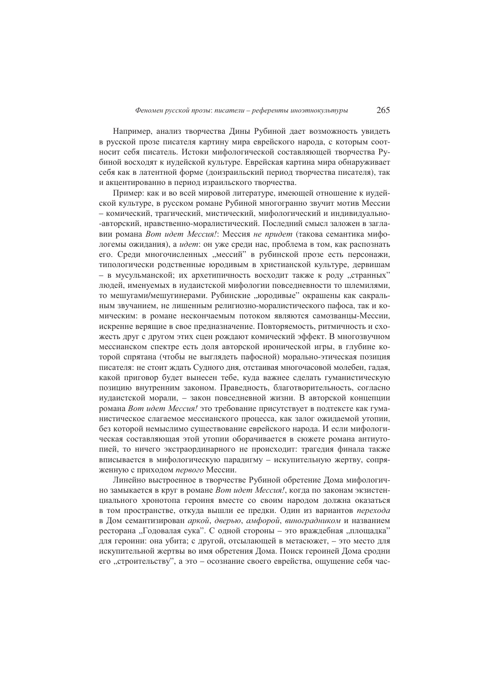Например, анализ творчества Дины Рубиной дает возможность увидеть в русской прозе писателя картину мира еврейского народа, с которым соотносит себя писатель. Истоки мифологической составляющей творчества Рубиной восходят к иудейской культуре. Еврейская картина мира обнаруживает себя как в латентной форме (доизраильский период творчества писателя), так и акцентированно в период израильского творчества.

Пример: как и во всей мировой литературе, имеющей отношение к иудейской культуре, в русском романе Рубиной многогранно звучит мотив Мессии - комический, трагический, мистический, мифологический и индивидуально--авторский, нравственно-моралистический. Послелний смысл заложен в заглавии романа Вот идет Мессия!: Мессия не придет (такова семантика мифологемы ожидания), а идет: он уже среди нас, проблема в том, как распознать его. Среди многочисленных "мессий" в рубинской прозе есть персонажи, типологически родственные юродивым в христианской культуре, дервишам - в мусульманской; их архетипичность восходит также к роду "странных" люлей, именуемых в иудаистской мифологии повселневности то шлемилями. то мешугами/мешугинерами. Рубинские "юродивые" окрашены как сакральным звучанием, не лишенным религиозно-моралистического пафоса, так и комическим: в романе нескончаемым потоком являются самозванцы-Мессии, искренне верящие в свое предназначение. Повторяемость, ритмичность и схожесть друг с другом этих сцен рождают комический эффект. В многозвучном мессианском спектре есть доля авторской иронической игры, в глубине которой спрятана (чтобы не выглядеть пафосной) морально-этическая позиция писателя: не стоит ждать Судного дня, отстаивая многочасовой молебен, гадая, какой приговор будет вынесен тебе, куда важнее сделать гуманистическую позицию внутренним законом. Праведность, благотворительность, согласно иудаистской морали, - закон повседневной жизни. В авторской концепции романа Вот идет Мессия! это требование присутствует в подтексте как гуманистическое слагаемое мессианского процесса, как залог ожидаемой утопии, без которой немыслимо существование еврейского народа. И если мифологическая составляющая этой утопии оборачивается в сюжете романа антиутопией, то ничего экстраординарного не происходит: трагедия финала также вписывается в мифологическую парадигму - искупительную жертву, сопряженную с приходом первого Мессии.

Линейно выстроенное в творчестве Рубиной обретение Дома мифологично замыкается в круг в романе Вот идет Мессия!, когда по законам экзистенциального хронотопа героиня вместе со своим народом должна оказаться в том пространстве, откуда вышли ее предки. Один из вариантов перехода в Дом семантизирован аркой, дверью, амфорой, виноградником и названием ресторана "Годовалая сука". С одной стороны - это враждебная "площадка" для героини: она убита; с другой, отсылающей в метасюжет, - это место для искупительной жертвы во имя обретения Дома. Поиск героиней Дома сродни его "строительству", а это - осознание своего еврейства, ощущение себя час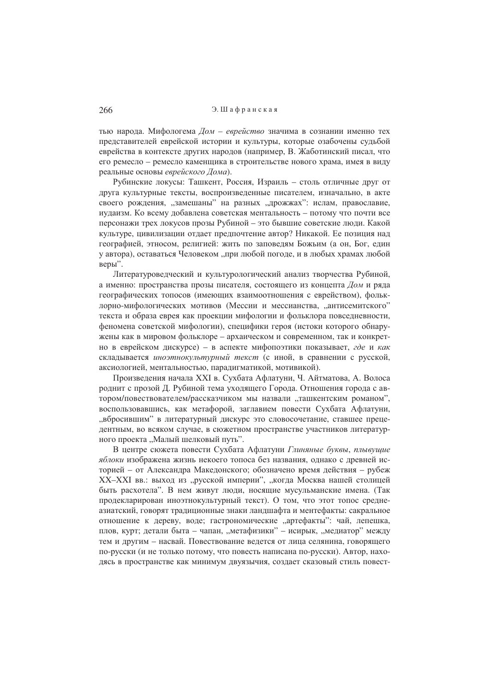тью народа. Мифологема Дом - еврейство значима в сознании именно тех представителей еврейской истории и культуры, которые озабочены судьбой еврейства в контексте других народов (например, В. Жаботинский писал, что его ремесло - ремесло каменщика в строительстве нового храма, имея в виду реальные основы еврейского Дома).

Рубинские локусы: Ташкент, Россия, Израиль - столь отличные друг от друга культурные тексты, воспроизведенные писателем, изначально, в акте своего рождения, "замешаны" на разных "дрожжах": ислам, православие, иудаизм. Ко всему добавлена советская ментальность - потому что почти все персонажи трех локусов прозы Рубиной - это бывшие советские люди. Какой культуре, цивилизации отлает предпочтение автор? Никакой. Ее позиция над географией, этносом, религией: жить по заповедям Божьим (а он, Бог, един у автора), оставаться Человеком "при любой погоде, и в любых храмах любой веры".

Литературоведческий и культурологический анализ творчества Рубиной, а именно: пространства прозы писателя, состоящего из концепта Дом и ряда географических топосов (имеющих взаимоотношения с еврейством), фольклорно-мифологических мотивов (Мессии и мессианства, "антисемитского" текста и образа еврея как проекции мифологии и фольклора повседневности, феномена советской мифологии), специфики героя (истоки которого обнаружены как в мировом фольклоре – архаическом и современном, так и конкретно в еврейском дискурсе) - в аспекте мифопоэтики показывает, где и как склалывается иноэтнокультурный текст (с иной, в сравнении с русской, аксиологией, ментальностью, парадигматикой, мотивикой).

Произведения начала XXI в. Сухбата Афлатуни, Ч. Айтматова, А. Волоса роднит с прозой Д. Рубиной тема уходящего Города. Отношения города с автором/повествователем/рассказчиком мы назвали "ташкентским романом", воспользовавшись, как метафорой, заглавием повести Сухбата Афлатуни, "вбросившим" в литературный дискурс это словосочетание, ставшее прецедентным, во всяком случае, в сюжетном пространстве участников литературного проекта "Малый шелковый путь".

В центре сюжета повести Сухбата Афлатуни Глиняные буквы, плывушие яблоки изображена жизнь некоего топоса без названия, однако с древней историей - от Александра Македонского; обозначено время действия - рубеж XX-XXI вв.: выход из "русской империи", "когда Москва нашей столицей быть расхотела". В нем живут люди, носящие мусульманские имена. (Так продекларирован иноэтнокультурный текст). О том, что этот топос среднеазиатский, говорят традиционные знаки ландшафта и ментефакты: сакральное отношение к дереву, воде; гастрономические "артефакты": чай, лепешка, плов, курт; детали быта - чапан, "метафизики" - исирык, "медиатор" между тем и другим - насвай. Повествование ведется от лица селянина, говорящего по-русски (и не только потому, что повесть написана по-русски). Автор, находясь в пространстве как минимум двуязычия, создает сказовый стиль повест-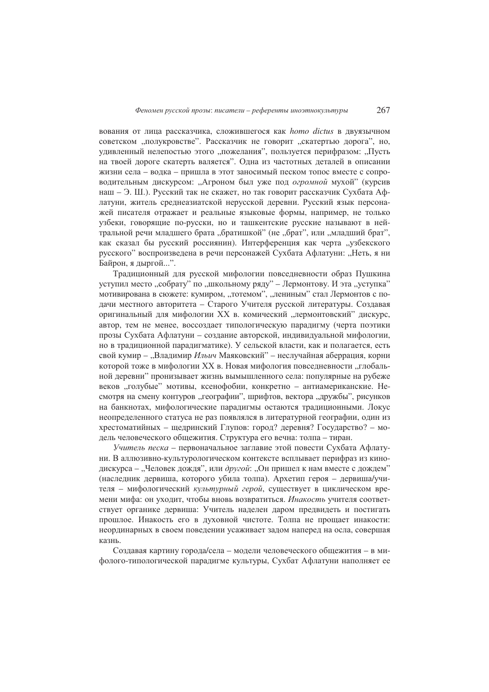вования от лица рассказчика, сложившегося как homo dictus в двуязычном советском "полукровстве". Рассказчик не говорит "скатертью дорога", но, удивленный нелепостью этого "пожелания", пользуется перифразом: "Пусть на твоей дороге скатерть валяется". Одна из частотных деталей в описании жизни села - водка - пришла в этот заносимый песком топос вместе с сопроводительным дискурсом: "Агроном был уже под *огромной* мухой" (курсив наш - Э. Ш.). Русский так не скажет, но так говорит рассказчик Сухбата Афлатуни, житель среднеазиатской нерусской деревни. Русский язык персонажей писателя отражает и реальные языковые формы, например, не только узбеки, говорящие по-русски, но и ташкентские русские называют в нейтральной речи млалшего брата "братишкой" (не "брат", или "млалший брат", как сказал бы русский россиянин). Интерференция как черта "узбекского русского" воспроизведена в речи персонажей Сухбата Афлатуни: "Неть, я ни Байрон, я дыргой...".

Традиционный для русской мифологии повседневности образ Пушкина уступил место "собрату" по "школьному ряду" - Лермонтову. И эта "уступка" мотивирована в сюжете: кумиром, "тотемом", "лениным" стал Лермонтов с подачи местного авторитета – Старого Учителя русской литературы. Создавая оригинальный для мифологии XX в. комический "лермонтовский" дискурс, автор, тем не менее, воссоздает типологическую парадигму (черта поэтики прозы Сухбата Афлатуни - создание авторской, индивидуальной мифологии, но в традиционной парадигматике). У сельской власти, как и полагается, есть свой кумир - "Владимир Ильич Маяковский" - неслучайная аберрация, корни которой тоже в мифологии XX в. Новая мифология повседневности "глобальной деревни" пронизывает жизнь вымышленного села: популярные на рубеже веков "голубые" мотивы, ксенофобии, конкретно - антиамериканские. Несмотря на смену контуров "географии", шрифтов, вектора "дружбы", рисунков на банкнотах, мифологические парадигмы остаются традиционными. Локус неопределенного статуса не раз появлялся в литературной географии, один из хрестоматийных - щедринский Глупов: город? деревня? Государство? - модель человеческого общежития. Структура его вечна: толпа - тиран.

Учитель песка - первоначальное заглавие этой повести Сухбата Афлатуни. В аллюзивно-культурологическом контексте всплывает перифраз из кинодискурса - "Человек дождя", или другой: "Он пришел к нам вместе с дождем" (наследник дервиша, которого убила толпа). Архетип героя - дервиша/учителя - мифологический культурный герой, существует в циклическом времени мифа: он уходит, чтобы вновь возвратиться. Инакость учителя соответствует органике дервиша: Учитель наделен даром предвидеть и постигать прошлое. Инакость его в духовной чистоте. Толпа не прощает инакости: неординарных в своем поведении усаживает задом наперед на осла, совершая казнь.

Создавая картину города/села - модели человеческого общежития - в мифолого-типологической парадигме культуры, Сухбат Афлатуни наполняет ее